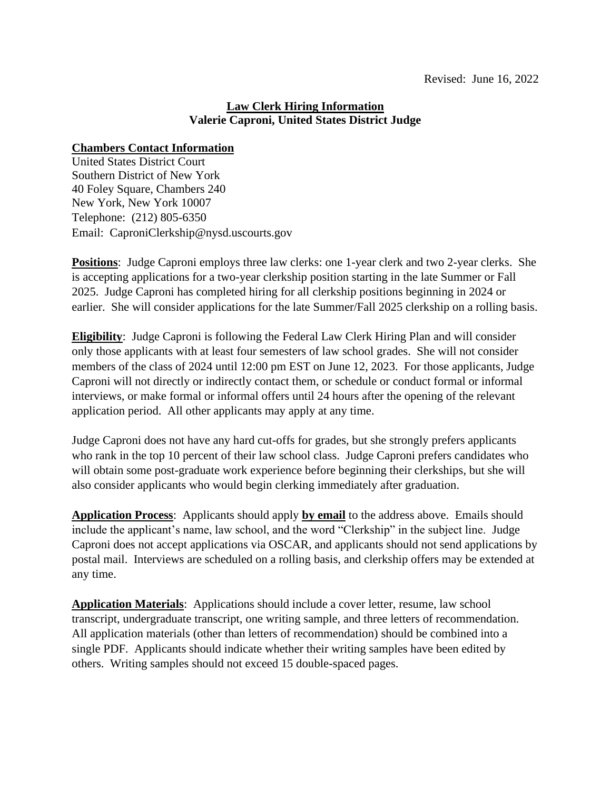## **Law Clerk Hiring Information Valerie Caproni, United States District Judge**

## **Chambers Contact Information**

United States District Court Southern District of New York 40 Foley Square, Chambers 240 New York, New York 10007 Telephone: (212) 805-6350 Email: CaproniClerkship@nysd.uscourts.gov

**Positions**: Judge Caproni employs three law clerks: one 1-year clerk and two 2-year clerks. She is accepting applications for a two-year clerkship position starting in the late Summer or Fall 2025. Judge Caproni has completed hiring for all clerkship positions beginning in 2024 or earlier. She will consider applications for the late Summer/Fall 2025 clerkship on a rolling basis.

**Eligibility**: Judge Caproni is following the Federal Law Clerk Hiring Plan and will consider only those applicants with at least four semesters of law school grades. She will not consider members of the class of 2024 until 12:00 pm EST on June 12, 2023. For those applicants, Judge Caproni will not directly or indirectly contact them, or schedule or conduct formal or informal interviews, or make formal or informal offers until 24 hours after the opening of the relevant application period. All other applicants may apply at any time.

Judge Caproni does not have any hard cut-offs for grades, but she strongly prefers applicants who rank in the top 10 percent of their law school class. Judge Caproni prefers candidates who will obtain some post-graduate work experience before beginning their clerkships, but she will also consider applicants who would begin clerking immediately after graduation.

**Application Process**: Applicants should apply **by email** to the address above. Emails should include the applicant's name, law school, and the word "Clerkship" in the subject line. Judge Caproni does not accept applications via OSCAR, and applicants should not send applications by postal mail. Interviews are scheduled on a rolling basis, and clerkship offers may be extended at any time.

**Application Materials**: Applications should include a cover letter, resume, law school transcript, undergraduate transcript, one writing sample, and three letters of recommendation. All application materials (other than letters of recommendation) should be combined into a single PDF. Applicants should indicate whether their writing samples have been edited by others. Writing samples should not exceed 15 double-spaced pages.